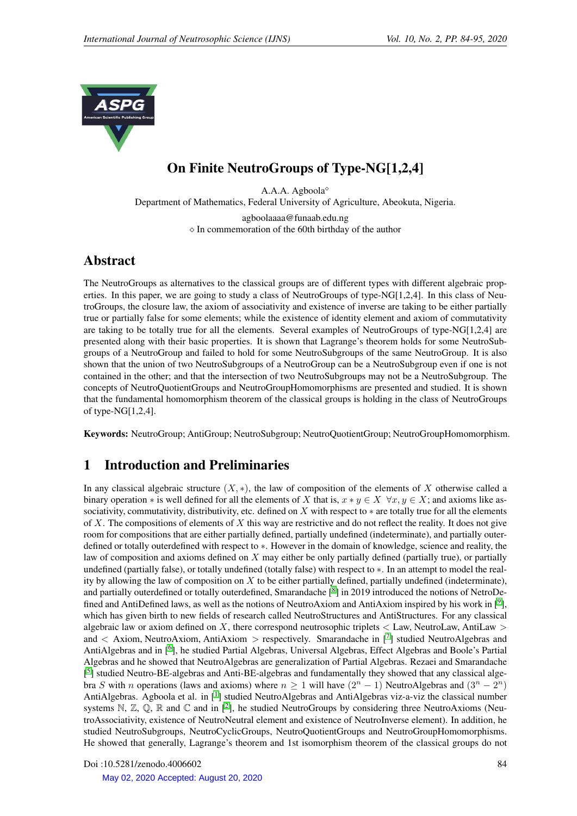

# On Finite NeutroGroups of Type-NG[1,2,4]

A.A.A. Agboola Department of Mathematics, Federal University of Agriculture, Abeokuta, Nigeria. agboolaaaa@funaab.edu.ng  $\Diamond$  In commemoration of the 60th birthday of the author

# Abstract

The NeutroGroups as alternatives to the classical groups are of different types with different algebraic properties. In this paper, we are going to study a class of NeutroGroups of type-NG[1,2,4]. In this class of NeutroGroups, the closure law, the axiom of associativity and existence of inverse are taking to be either partially true or partially false for some elements; while the existence of identity element and axiom of commutativity are taking to be totally true for all the elements. Several examples of NeutroGroups of type-NG[1,2,4] are presented along with their basic properties. It is shown that Lagrange's theorem holds for some NeutroSubgroups of a NeutroGroup and failed to hold for some NeutroSubgroups of the same NeutroGroup. It is also shown that the union of two NeutroSubgroups of a NeutroGroup can be a NeutroSubgroup even if one is not contained in the other; and that the intersection of two NeutroSubgroups may not be a NeutroSubgroup. The concepts of NeutroQuotientGroups and NeutroGroupHomomorphisms are presented and studied. It is shown that the fundamental homomorphism theorem of the classical groups is holding in the class of NeutroGroups of type-NG[1,2,4].

Keywords: NeutroGroup; AntiGroup; NeutroSubgroup; NeutroQuotientGroup; NeutroGroupHomomorphism.

# 1 Introduction and Preliminaries

In any classical algebraic structure  $(X, *)$ , the law of composition of the elements of X otherwise called a binary operation  $*$  is well defined for all the elements of X that is,  $x * y \in X \ \forall x, y \in X$ ; and axioms like associativity, commutativity, distributivity, etc. defined on X with respect to  $*$  are totally true for all the elements of  $X$ . The compositions of elements of  $X$  this way are restrictive and do not reflect the reality. It does not give room for compositions that are either partially defined, partially undefined (indeterminate), and partially outerdefined or totally outerdefined with respect to ∗. However in the domain of knowledge, science and reality, the law of composition and axioms defined on  $X$  may either be only partially defined (partially true), or partially undefined (partially false), or totally undefined (totally false) with respect to ∗. In an attempt to model the reality by allowing the law of composition on  $X$  to be either partially defined, partially undefined (indeterminate), and partially outerdefined or totally outerdefined, Smarandache [[8](#page-11-0)] in 2019 introduced the notions of NetroDe-fined and AntiDefined laws, as well as the notions of NeutroAxiom and AntiAxiom inspired by his work in [<sup>[9](#page-11-1)</sup>], which has given birth to new fields of research called NeutroStructures and AntiStructures. For any classical algebraic law or axiom defined on  $X$ , there correspond neutrosophic triplets  $<$  Law, NeutroLaw, AntiLaw  $>$ and  $\langle$  Axiom, NeutroAxiom, AntiAxiom  $\rangle$  respectively. Smarandache in [[7](#page-11-2)] studied NeutroAlgebras and AntiAlgebras and in [<sup>[6](#page-11-3)</sup>], he studied Partial Algebras, Universal Algebras, Effect Algebras and Boole's Partial Algebras and he showed that NeutroAlgebras are generalization of Partial Algebras. Rezaei and Smarandache [<sup>[5](#page-11-4)</sup>] studied Neutro-BE-algebras and Anti-BE-algebras and fundamentally they showed that any classical algebra S with n operations (laws and axioms) where  $n \ge 1$  will have  $(2^{n} - 1)$  NeutroAlgebras and  $(3^{n} - 2^{n})$ AntiAlgebras. Agboola et al. in [<sup>[1](#page-11-5)</sup>] studied NeutroAlgebras and AntiAlgebras viz-a-viz the classical number systems  $\mathbb{N}, \mathbb{Z}, \mathbb{Q}, \mathbb{R}$  and  $\mathbb{C}$  and in  $[2]$  $[2]$  $[2]$ , he studied NeutroGroups by considering three NeutroAxioms (NeutroAssociativity, existence of NeutroNeutral element and existence of NeutroInverse element). In addition, he studied NeutroSubgroups, NeutroCyclicGroups, NeutroQuotientGroups and NeutroGroupHomomorphisms. He showed that generally, Lagrange's theorem and 1st isomorphism theorem of the classical groups do not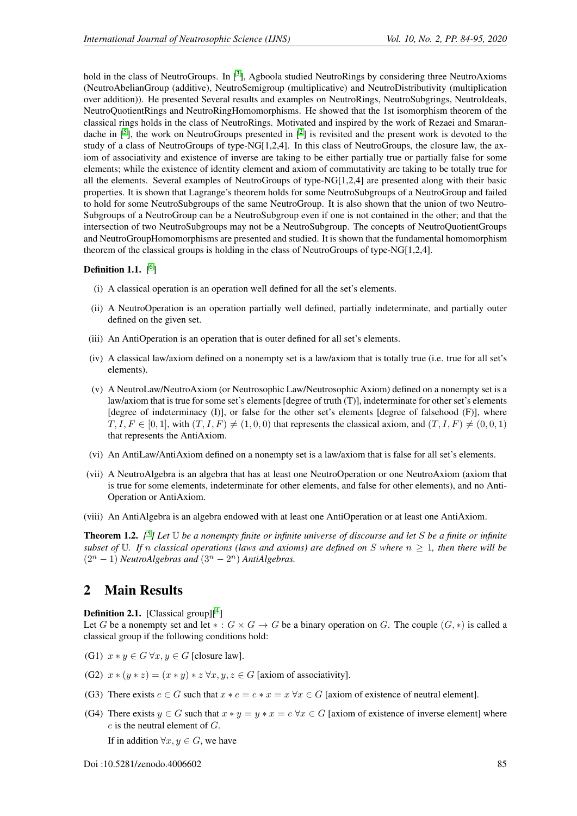hold in the class of NeutroGroups. In  $[^3]$  $[^3]$  $[^3]$ , Agboola studied NeutroRings by considering three NeutroAxioms (NeutroAbelianGroup (additive), NeutroSemigroup (multiplicative) and NeutroDistributivity (multiplication over addition)). He presented Several results and examples on NeutroRings, NeutroSubgrings, NeutroIdeals, NeutroQuotientRings and NeutroRingHomomorphisms. He showed that the 1st isomorphism theorem of the classical rings holds in the class of NeutroRings. Motivated and inspired by the work of Rezaei and Smarandache in  $\lbrack$ <sup>[5](#page-11-4)</sup>], the work on NeutroGroups presented in  $\lbrack$ <sup>[2](#page-11-6)</sup>] is revisited and the present work is devoted to the study of a class of NeutroGroups of type-NG[1,2,4]. In this class of NeutroGroups, the closure law, the axiom of associativity and existence of inverse are taking to be either partially true or partially false for some elements; while the existence of identity element and axiom of commutativity are taking to be totally true for all the elements. Several examples of NeutroGroups of type-NG[1,2,4] are presented along with their basic properties. It is shown that Lagrange's theorem holds for some NeutroSubgroups of a NeutroGroup and failed to hold for some NeutroSubgroups of the same NeutroGroup. It is also shown that the union of two Neutro-Subgroups of a NeutroGroup can be a NeutroSubgroup even if one is not contained in the other; and that the intersection of two NeutroSubgroups may not be a NeutroSubgroup. The concepts of NeutroQuotientGroups and NeutroGroupHomomorphisms are presented and studied. It is shown that the fundamental homomorphism theorem of the classical groups is holding in the class of NeutroGroups of type-NG[1,2,4].

### Definition 1.1.  $[6]$  $[6]$  $[6]$

- (i) A classical operation is an operation well defined for all the set's elements.
- (ii) A NeutroOperation is an operation partially well defined, partially indeterminate, and partially outer defined on the given set.
- (iii) An AntiOperation is an operation that is outer defined for all set's elements.
- (iv) A classical law/axiom defined on a nonempty set is a law/axiom that is totally true (i.e. true for all set's elements).
- (v) A NeutroLaw/NeutroAxiom (or Neutrosophic Law/Neutrosophic Axiom) defined on a nonempty set is a law/axiom that is true for some set's elements [degree of truth (T)], indeterminate for other set's elements [degree of indeterminacy (I)], or false for the other set's elements [degree of falsehood (F)], where  $T, I, F \in [0, 1]$ , with  $(T, I, F) \neq (1, 0, 0)$  that represents the classical axiom, and  $(T, I, F) \neq (0, 0, 1)$ that represents the AntiAxiom.
- (vi) An AntiLaw/AntiAxiom defined on a nonempty set is a law/axiom that is false for all set's elements.
- (vii) A NeutroAlgebra is an algebra that has at least one NeutroOperation or one NeutroAxiom (axiom that is true for some elements, indeterminate for other elements, and false for other elements), and no Anti-Operation or AntiAxiom.
- (viii) An AntiAlgebra is an algebra endowed with at least one AntiOperation or at least one AntiAxiom.

<span id="page-1-0"></span>Theorem 1.2. *[ [5](#page-11-4) ] Let* U *be a nonempty finite or infinite universe of discourse and let* S *be a finite or infinite subset of* U. If n classical operations (laws and axioms) are defined on S where  $n \geq 1$ , then there will be  $(2^{n} - 1)$  *NeutroAlgebras and*  $(3^{n} - 2^{n})$  *AntiAlgebras.* 

### 2 Main Results

**Definition 2.1.** [Classical group] $[$ <sup>[4](#page-11-8)</sup>]

Let G be a nonempty set and let  $* : G \times G \to G$  be a binary operation on G. The couple  $(G, *)$  is called a classical group if the following conditions hold:

- (G1)  $x * y \in G \forall x, y \in G$  [closure law].
- (G2)  $x * (y * z) = (x * y) * z \forall x, y, z \in G$  [axiom of associativity].
- (G3) There exists  $e \in G$  such that  $x * e = e * x = x \forall x \in G$  [axiom of existence of neutral element].
- (G4) There exists  $y \in G$  such that  $x * y = y * x = e \forall x \in G$  [axiom of existence of inverse element] where  $e$  is the neutral element of  $G$ .

If in addition  $\forall x, y \in G$ , we have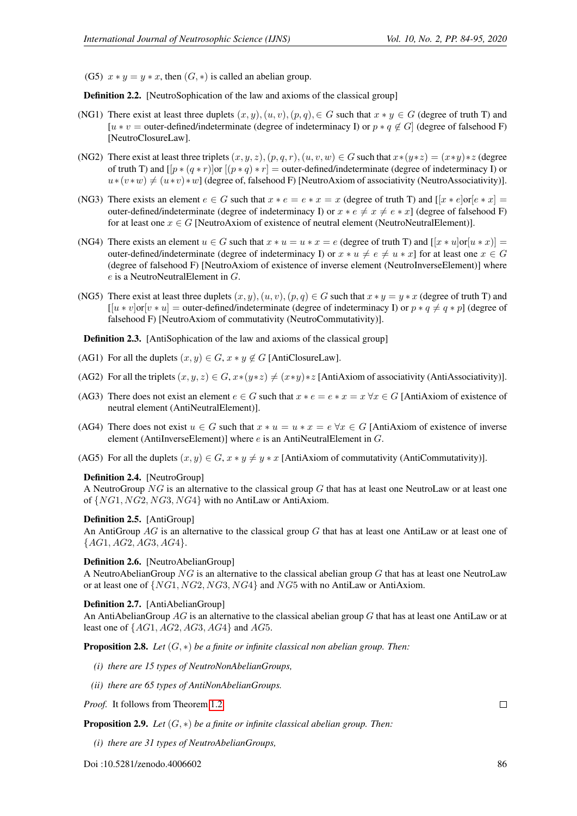(G5)  $x * y = y * x$ , then  $(G, *)$  is called an abelian group.

**Definition 2.2.** [NeutroSophication of the law and axioms of the classical group]

- (NG1) There exist at least three duplets  $(x, y), (u, v), (p, q), \in G$  such that  $x * y \in G$  (degree of truth T) and [u \* v = outer-defined/indeterminate (degree of indeterminacy I) or  $p * q \notin G$ ] (degree of falsehood F) [NeutroClosureLaw].
- (NG2) There exist at least three triplets  $(x, y, z)$ ,  $(p, q, r)$ ,  $(u, v, w) \in G$  such that  $x*(y*z) = (x*y)*z$  (degree of truth T) and  $[p * (q * r)]$ or  $[(p * q) * r] =$  outer-defined/indeterminate (degree of indeterminacy I) or  $u*(v*w) \neq (u*v)*w$ ] (degree of, falsehood F) [NeutroAxiom of associativity (NeutroAssociativity)].
- (NG3) There exists an element  $e \in G$  such that  $x * e = e * x = x$  (degree of truth T) and  $[x * e]$  or  $[e * x] = x$ outer-defined/indeterminate (degree of indeterminacy I) or  $x * e \neq x \neq e * x$ ] (degree of falsehood F) for at least one  $x \in G$  [NeutroAxiom of existence of neutral element (NeutroNeutralElement)].
- (NG4) There exists an element  $u \in G$  such that  $x * u = u * x = e$  (degree of truth T) and  $[x * u] \text{ or } [u * x]$ outer-defined/indeterminate (degree of indeterminacy I) or  $x * u \neq e \neq u * x$  for at least one  $x \in G$ (degree of falsehood F) [NeutroAxiom of existence of inverse element (NeutroInverseElement)] where e is a NeutroNeutralElement in G.
- (NG5) There exist at least three duplets  $(x, y)$ ,  $(u, v)$ ,  $(p, q) \in G$  such that  $x * y = y * x$  (degree of truth T) and  $\left[ [u * v] \text{or} [v * u] \right]$  = outer-defined/indeterminate (degree of indeterminacy I) or  $p * q \neq q * p$  (degree of falsehood F) [NeutroAxiom of commutativity (NeutroCommutativity)].

Definition 2.3. [AntiSophication of the law and axioms of the classical group]

- (AG1) For all the duplets  $(x, y) \in G$ ,  $x * y \notin G$  [AntiClosureLaw].
- (AG2) For all the triplets  $(x, y, z) \in G$ ,  $x*(y*z) \neq (x*y)*z$  [AntiAxiom of associativity (AntiAssociativity)].
- (AG3) There does not exist an element  $e \in G$  such that  $x * e = e * x = x \forall x \in G$  [AntiAxiom of existence of neutral element (AntiNeutralElement)].
- (AG4) There does not exist  $u \in G$  such that  $x * u = u * x = e \forall x \in G$  [AntiAxiom of existence of inverse element (AntiInverseElement)] where  $e$  is an AntiNeutralElement in  $G$ .
- (AG5) For all the duplets  $(x, y) \in G$ ,  $x * y \neq y * x$  [AntiAxiom of commutativity (AntiCommutativity)].

### Definition 2.4. [NeutroGroup]

A NeutroGroup  $NG$  is an alternative to the classical group G that has at least one NeutroLaw or at least one of {NG1, NG2, NG3, NG4} with no AntiLaw or AntiAxiom.

### <span id="page-2-2"></span>Definition 2.5. [AntiGroup]

An AntiGroup AG is an alternative to the classical group G that has at least one AntiLaw or at least one of  ${AG1, AG2, AG3, AG4}.$ 

### Definition 2.6. [NeutroAbelianGroup]

A NeutroAbelianGroup  $NG$  is an alternative to the classical abelian group G that has at least one NeutroLaw or at least one of {NG1, NG2, NG3, NG4} and NG5 with no AntiLaw or AntiAxiom.

### Definition 2.7. [AntiAbelianGroup]

An AntiAbelianGroup AG is an alternative to the classical abelian group G that has at least one AntiLaw or at least one of  $\{AG1, AG2, AG3, AG4\}$  and  $AG5$ .

<span id="page-2-0"></span>Proposition 2.8. *Let* (G, ∗) *be a finite or infinite classical non abelian group. Then:*

- *(i) there are 15 types of NeutroNonAbelianGroups,*
- *(ii) there are 65 types of AntiNonAbelianGroups.*

*Proof.* It follows from Theorem [1.2.](#page-1-0)

<span id="page-2-1"></span>Proposition 2.9. *Let* (G, ∗) *be a finite or infinite classical abelian group. Then:*

*(i) there are 31 types of NeutroAbelianGroups,*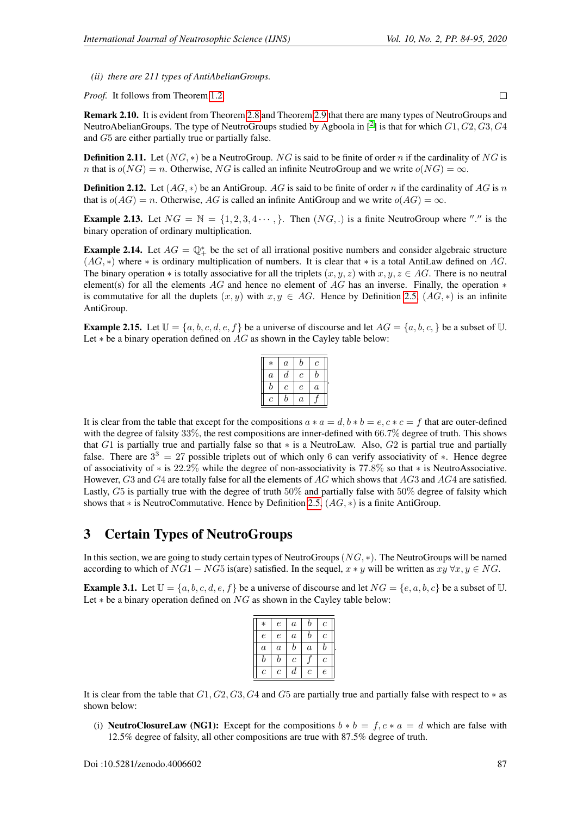*(ii) there are 211 types of AntiAbelianGroups.*

*Proof.* It follows from Theorem [1.2.](#page-1-0)

Remark 2.10. It is evident from Theorem [2.8](#page-2-0) and Theorem [2.9](#page-2-1) that there are many types of NeutroGroups and NeutroAbelianGroups. The type of NeutroGroups studied by Agboola in  $[^2]$  $[^2]$  $[^2]$  is that for which  $G1, G2, G3, G4$ and G5 are either partially true or partially false.

**Definition 2.11.** Let  $(NG, *)$  be a NeutroGroup. NG is said to be finite of order n if the cardinality of NG is n that is  $o(NG) = n$ . Otherwise, NG is called an infinite NeutroGroup and we write  $o(NG) = \infty$ .

**Definition 2.12.** Let  $(AG, *)$  be an AntiGroup. AG is said to be finite of order n if the cardinality of AG is n that is  $o(AG) = n$ . Otherwise, AG is called an infinite AntiGroup and we write  $o(AG) = \infty$ .

**Example 2.13.** Let  $NG = \mathbb{N} = \{1, 2, 3, 4 \cdots \}$ . Then  $(NG, .)$  is a finite NeutroGroup where "." is the binary operation of ordinary multiplication.

**Example 2.14.** Let  $AG = \mathbb{Q}_+^*$  be the set of all irrational positive numbers and consider algebraic structure  $(AG, *)$  where  $*$  is ordinary multiplication of numbers. It is clear that  $*$  is a total AntiLaw defined on AG. The binary operation  $*$  is totally associative for all the triplets  $(x, y, z)$  with  $x, y, z \in AG$ . There is no neutral element(s) for all the elements AG and hence no element of AG has an inverse. Finally, the operation  $*$ is commutative for all the duplets  $(x, y)$  with  $x, y \in AG$ . Hence by Definition [2.5,](#page-2-2)  $(AG, *)$  is an infinite AntiGroup.

**Example 2.15.** Let  $\mathbb{U} = \{a, b, c, d, e, f\}$  be a universe of discourse and let  $AG = \{a, b, c, \}$  be a subset of  $\mathbb{U}$ . Let  $*$  be a binary operation defined on  $AG$  as shown in the Cayley table below:

| $\ast$           | $\it a$ | b                | Ċ                |  |
|------------------|---------|------------------|------------------|--|
| $\boldsymbol{a}$ | d       | с                | b                |  |
| h                | Ċ       | $\boldsymbol{e}$ | $\boldsymbol{a}$ |  |
| $\boldsymbol{c}$ | b       | $\alpha$         |                  |  |

It is clear from the table that except for the compositions  $a * a = d$ ,  $b * b = e$ ,  $c * c = f$  that are outer-defined with the degree of falsity 33%, the rest compositions are inner-defined with 66.7% degree of truth. This shows that G1 is partially true and partially false so that ∗ is a NeutroLaw. Also, G2 is partial true and partially false. There are  $3<sup>3</sup> = 27$  possible triplets out of which only 6 can verify associativity of  $*$ . Hence degree of associativity of ∗ is 22.2% while the degree of non-associativity is 77.8% so that ∗ is NeutroAssociative. However, G3 and G4 are totally false for all the elements of AG which shows that AG3 and AG4 are satisfied. Lastly, G5 is partially true with the degree of truth 50% and partially false with 50% degree of falsity which shows that  $*$  is NeutroCommutative. Hence by Definition [2.5,](#page-2-2)  $(AG, *)$  is a finite AntiGroup.

### 3 Certain Types of NeutroGroups

In this section, we are going to study certain types of NeutroGroups(NG, ∗). The NeutroGroups will be named according to which of  $NG1 - NG5$  is(are) satisfied. In the sequel,  $x * y$  will be written as  $xy \forall x, y \in NG$ .

**Example 3.1.** Let  $\mathbb{U} = \{a, b, c, d, e, f\}$  be a universe of discourse and let  $NG = \{e, a, b, c\}$  be a subset of  $\mathbb{U}$ . Let  $*$  be a binary operation defined on  $NG$  as shown in the Cayley table below:

| $\ast$           | $\epsilon$ | $\boldsymbol{a}$      | b                | с              |  |
|------------------|------------|-----------------------|------------------|----------------|--|
| $\epsilon$       | $\epsilon$ | $\boldsymbol{a}$      | b                | с              |  |
| $\boldsymbol{a}$ | $\alpha$   | b                     | $\boldsymbol{a}$ | b              |  |
| b                | b          | $\mathcal{C}_{0}^{2}$ |                  | $\overline{c}$ |  |
| $\overline{c}$   | с          | d                     | с                | $\epsilon$     |  |

It is clear from the table that  $G1, G2, G3, G4$  and  $G5$  are partially true and partially false with respect to  $*$  as shown below:

(i) **NeutroClosureLaw (NG1):** Except for the compositions  $b * b = f, c * a = d$  which are false with 12.5% degree of falsity, all other compositions are true with 87.5% degree of truth.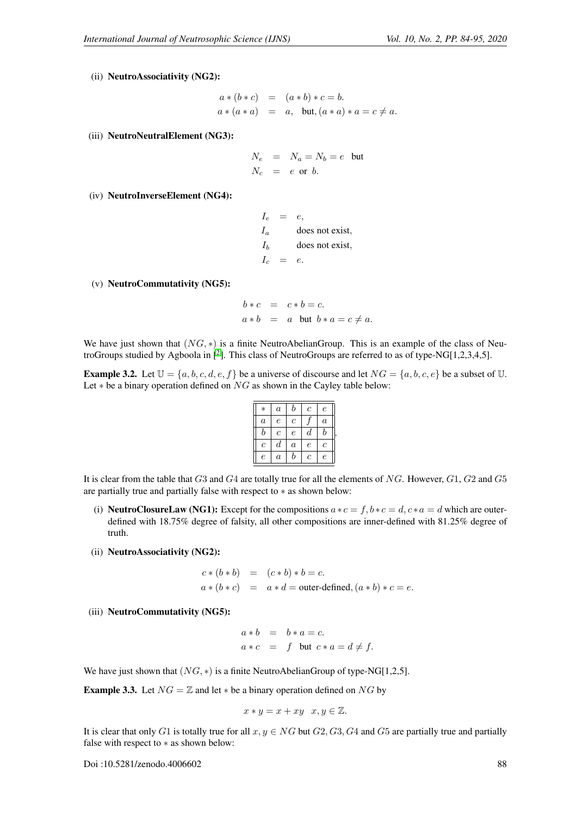(ii) NeutroAssociativity (NG2):

$$
a * (b * c) = (a * b) * c = b.
$$
  

$$
a * (a * a) = a, \text{ but, } (a * a) * a = c \neq a.
$$

(iii) NeutroNeutralElement (NG3):

$$
N_e = N_a = N_b = e
$$
 but  

$$
N_c = e
$$
 or b.

- (iv) NeutroInverseElement (NG4):
- $I_e = e$ ,  $I_a$  does not exist,  $I_b$  does not exist,  $I_c = e$ .
- (v) NeutroCommutativity (NG5):

$$
b * c = c * b = c.
$$
  

$$
a * b = a \text{ but } b * a = c \neq a.
$$

We have just shown that  $(NG, *)$  is a finite NeutroAbelianGroup. This is an example of the class of Neu-troGroups studied by Agboola in [<sup>[2](#page-11-6)</sup>]. This class of NeutroGroups are referred to as of type-NG[1,2,3,4,5].

<span id="page-4-0"></span>**Example 3.2.** Let  $\mathbb{U} = \{a, b, c, d, e, f\}$  be a universe of discourse and let  $NG = \{a, b, c, e\}$  be a subset of  $\mathbb{U}$ . Let  $*$  be a binary operation defined on  $NG$  as shown in the Cayley table below:

| $\ast$           | $\boldsymbol{a}$ | b                | $\mathfrak c$ | $\epsilon$       |
|------------------|------------------|------------------|---------------|------------------|
| $\boldsymbol{a}$ | $\epsilon$       | с                |               | $\boldsymbol{a}$ |
| b                | $\boldsymbol{c}$ | $\epsilon$       | d             | b                |
| $\mathcal C$     | $\boldsymbol{d}$ | $\boldsymbol{a}$ | $\epsilon$    | $\mathcal C$     |
| $\epsilon$       | $\it a$          | b                | $\mathfrak c$ | $\epsilon$       |

.

It is clear from the table that  $G3$  and  $G4$  are totally true for all the elements of NG. However,  $G1$ ,  $G2$  and  $G5$ are partially true and partially false with respect to ∗ as shown below:

- (i) **NeutroClosureLaw (NG1):** Except for the compositions  $a * c = f$ ,  $b * c = d$ ,  $c * a = d$  which are outerdefined with 18.75% degree of falsity, all other compositions are inner-defined with 81.25% degree of truth.
- (ii) NeutroAssociativity (NG2):

$$
c*(b*b) = (c*b)*b = c.
$$
  

$$
a*(b*c) = a*d = outer\text{-defined}, (a*b)*c = e.
$$

(iii) NeutroCommutativity (NG5):

$$
a * b = b * a = c.
$$
  

$$
a * c = f \text{ but } c * a = d \neq f.
$$

We have just shown that  $(NG, *)$  is a finite NeutroAbelianGroup of type-NG[1,2,5].

**Example 3.3.** Let  $NG = \mathbb{Z}$  and let  $*$  be a binary operation defined on  $NG$  by

$$
x * y = x + xy \quad x, y \in \mathbb{Z}.
$$

It is clear that only G1 is totally true for all  $x, y \in NG$  but  $G2, G3, G4$  and  $G5$  are partially true and partially false with respect to ∗ as shown below: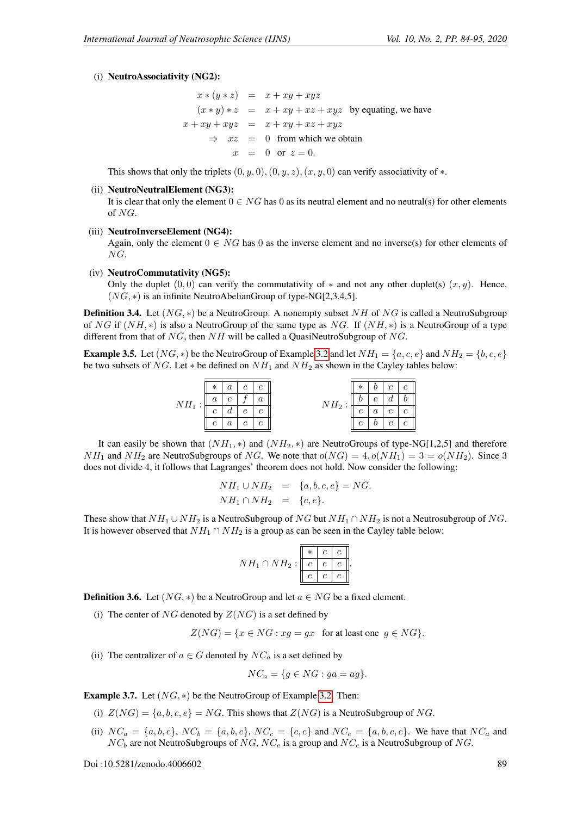#### (i) NeutroAssociativity (NG2):

$$
x * (y * z) = x + xy + xyz
$$
  
\n
$$
(x * y) * z = x + xy + xz + xyz
$$
 by equating, we have  
\n
$$
x + xy + xyz = x + xy + xz + xyz
$$
  
\n
$$
\Rightarrow xz = 0 \text{ from which we obtain}
$$
  
\n
$$
x = 0 \text{ or } z = 0.
$$

This shows that only the triplets  $(0, y, 0), (0, y, z), (x, y, 0)$  can verify associativity of  $*$ .

#### (ii) NeutroNeutralElement (NG3):

It is clear that only the element  $0 \in NG$  has 0 as its neutral element and no neutral(s) for other elements of NG.

#### (iii) NeutroInverseElement (NG4):

Again, only the element  $0 \in NG$  has 0 as the inverse element and no inverse(s) for other elements of NG.

(iv) NeutroCommutativity (NG5):

Only the duplet  $(0, 0)$  can verify the commutativity of  $*$  and not any other duplet(s)  $(x, y)$ . Hence,  $(NG, *)$  is an infinite NeutroAbelianGroup of type-NG[2,3,4,5].

**Definition 3.4.** Let  $(NG, *)$  be a NeutroGroup. A nonempty subset NH of NG is called a NeutroSubgroup of NG if  $(NH, *)$  is also a NeutroGroup of the same type as NG. If  $(NH, *)$  is a NeutroGroup of a type different from that of  $NG$ , then  $NH$  will be called a QuasiNeutroSubgroup of  $NG$ .

**Example 3.5.** Let  $(NG, *)$  be the NeutroGroup of Example [3.2](#page-4-0) and let  $NH_1 = \{a, c, e\}$  and  $NH_2 = \{b, c, e\}$ be two subsets of NG. Let  $*$  be defined on  $NH_1$  and  $NH_2$  as shown in the Cayley tables below:



It can easily be shown that  $(NH_1, *)$  and  $(NH_2, *)$  are NeutroGroups of type-NG[1,2,5] and therefore  $NH_1$  and  $NH_2$  are NeutroSubgroups of NG. We note that  $o(NG) = 4, o(NH_1) = 3 = o(NH_2)$ . Since 3 does not divide 4, it follows that Lagranges' theorem does not hold. Now consider the following:

$$
NH_1 \cup NH_2 = \{a, b, c, e\} = NG.
$$
  

$$
NH_1 \cap NH_2 = \{c, e\}.
$$

These show that  $NH_1 \cup NH_2$  is a NeutroSubgroup of  $NG$  but  $NH_1 \cap NH_2$  is not a Neutrosubgroup of NG. It is however observed that  $NH_1 \cap NH_2$  is a group as can be seen in the Cayley table below:

$$
NH_1 \cap NH_2 : \begin{array}{|c|c|c|c|c|} \hline * & c & e \\ \hline c & e & c & e \\ \hline e & c & e & \end{array}
$$

**Definition 3.6.** Let  $(NG, *)$  be a NeutroGroup and let  $a \in NG$  be a fixed element.

(i) The center of NG denoted by  $Z(NG)$  is a set defined by

$$
Z(NG) = \{ x \in NG : xg = gx \text{ for at least one } g \in NG \}.
$$

.

(ii) The centralizer of  $a \in G$  denoted by  $NC_a$  is a set defined by

$$
NC_a = \{ g \in NG : ga = ag \}.
$$

**Example 3.7.** Let  $(NG, *)$  be the NeutroGroup of Example [3.2.](#page-4-0) Then:

- (i)  $Z(NG) = \{a, b, c, e\} = NG$ . This shows that  $Z(NG)$  is a NeutroSubgroup of NG.
- (ii)  $NC_a = \{a, b, e\}$ ,  $NC_b = \{a, b, e\}$ ,  $NC_c = \{c, e\}$  and  $NC_e = \{a, b, c, e\}$ . We have that  $NC_a$  and  $NC_b$  are not NeutroSubgroups of  $NG, NC_e$  is a group and  $NC_c$  is a NeutroSubgroup of NG.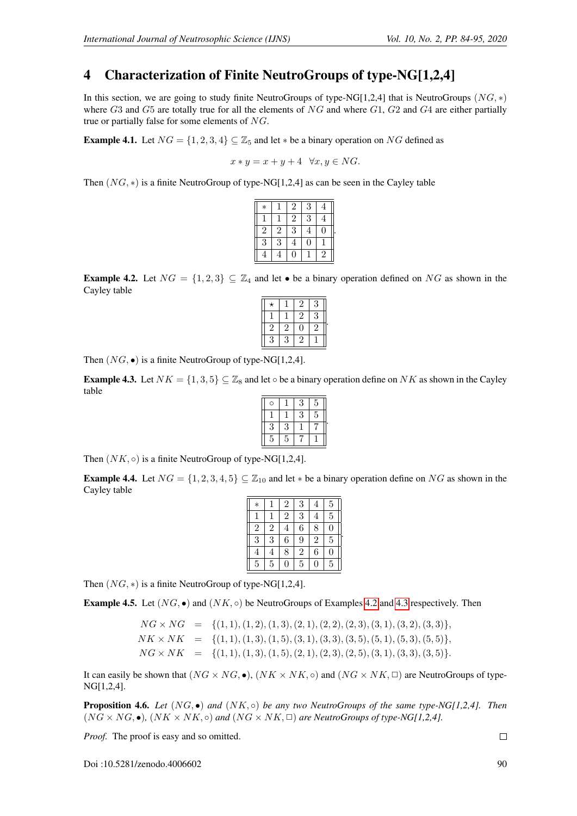# 4 Characterization of Finite NeutroGroups of type-NG[1,2,4]

In this section, we are going to study finite NeutroGroups of type-NG[1,2,4] that is NeutroGroups ( $NG, *$ ) where  $G3$  and  $G5$  are totally true for all the elements of  $NG$  and where  $G1$ ,  $G2$  and  $G4$  are either partially true or partially false for some elements of NG.

<span id="page-6-2"></span>**Example 4.1.** Let  $NG = \{1, 2, 3, 4\} \subseteq \mathbb{Z}_5$  and let  $*$  be a binary operation on NG defined as

$$
x * y = x + y + 4 \quad \forall x, y \in NG.
$$

Then (NG, ∗) is a finite NeutroGroup of type-NG[1,2,4] as can be seen in the Cayley table

| $\ast$         |              | $\overline{2}$ | 3              |                |  |
|----------------|--------------|----------------|----------------|----------------|--|
|                |              | $\overline{2}$ | $\overline{3}$ |                |  |
| $\sqrt{2}$     | $\mathbf{2}$ | 3              | 4              | 0              |  |
| $\overline{3}$ | 3            | 4              | 0              |                |  |
|                |              | 0              |                | $\overline{2}$ |  |

<span id="page-6-0"></span>**Example 4.2.** Let  $NG = \{1, 2, 3\} \subseteq \mathbb{Z}_4$  and let  $\bullet$  be a binary operation defined on NG as shown in the Cayley table

Then  $(NG, \bullet)$  is a finite NeutroGroup of type-NG[1,2,4].

<span id="page-6-1"></span>**Example 4.3.** Let  $NK = \{1, 3, 5\} \subseteq \mathbb{Z}_8$  and let  $\circ$  be a binary operation define on NK as shown in the Cayley table

|   | 3 | 5 |  |
|---|---|---|--|
|   | 3 | 5 |  |
| 3 |   |   |  |
| 5 |   |   |  |
| Ó | 3 |   |  |

Then  $(NK, \circ)$  is a finite NeutroGroup of type-NG[1,2,4].

<span id="page-6-3"></span>**Example 4.4.** Let  $NG = \{1, 2, 3, 4, 5\} \subseteq \mathbb{Z}_{10}$  and let  $*$  be a binary operation define on NG as shown in the Cayley table

| $\ast$         |                | $\overline{2}$ | 3              | 4              | 5              |  |
|----------------|----------------|----------------|----------------|----------------|----------------|--|
| 1              |                | $\overline{2}$ | 3              | 4              | 5              |  |
| $\overline{2}$ | $\overline{2}$ | 4              | $\overline{6}$ | 8              | 0              |  |
| $\overline{3}$ | 3              | 6              | 9              | $\overline{2}$ | $\overline{5}$ |  |
| 4              | 4              | 8              | $\overline{2}$ | 6              | 0              |  |
| $\overline{5}$ | 5              | 0              | 5              | 0              | 5              |  |

Then  $(NG, *)$  is a finite NeutroGroup of type-NG[1,2,4].

**Example 4.5.** Let  $(NG, \bullet)$  and  $(NK, \circ)$  be NeutroGroups of Examples [4.2](#page-6-0) and [4.3](#page-6-1) respectively. Then

 $NG \times NG = \{ (1, 1), (1, 2), (1, 3), (2, 1), (2, 2), (2, 3), (3, 1), (3, 2), (3, 3) \},$  $NK \times NK = \{(1, 1), (1, 3), (1, 5), (3, 1), (3, 3), (3, 5), (5, 1), (5, 3), (5, 5)\},$  $NG \times NK = \{(1, 1), (1, 3), (1, 5), (2, 1), (2, 3), (2, 5), (3, 1), (3, 3), (3, 5)\}.$ 

It can easily be shown that  $(NG \times NG, \bullet)$ ,  $(NK \times NK, \circ)$  and  $(NG \times NK, \circ)$  are NeutroGroups of type-NG[1,2,4].

Proposition 4.6. *Let* (NG, •) *and* (NK, ◦) *be any two NeutroGroups of the same type-NG[1,2,4]. Then*  $(NG \times NG, \bullet)$ ,  $(NK \times NK, \circ)$  *and*  $(NG \times NK, \Box)$  *are NeutroGroups of type-NG[1,2,4].* 

*Proof.* The proof is easy and so omitted.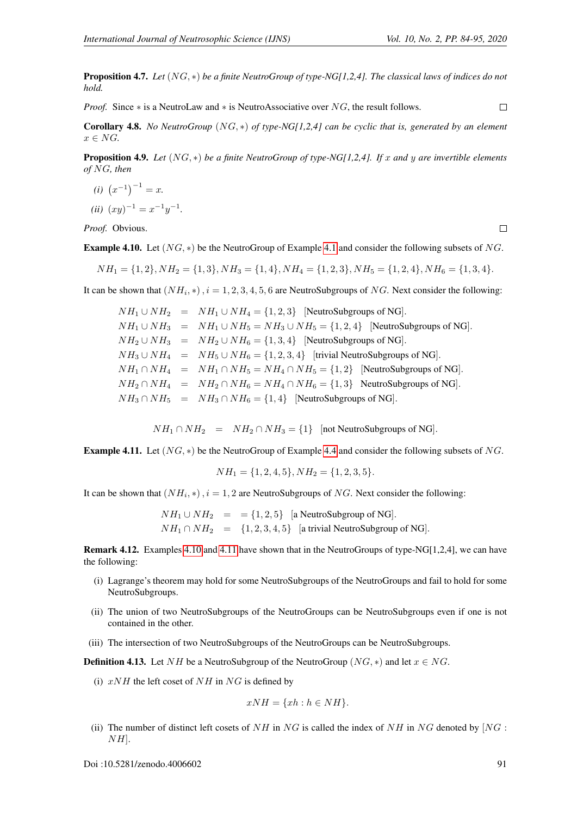$\Box$ 

Proposition 4.7. *Let* (NG, ∗) *be a finite NeutroGroup of type-NG[1,2,4]. The classical laws of indices do not hold.*

 $\Box$ *Proof.* Since ∗ is a NeutroLaw and ∗ is NeutroAssociative over NG, the result follows.

Corollary 4.8. *No NeutroGroup* (NG, ∗) *of type-NG[1,2,4] can be cyclic that is, generated by an element*  $x \in NG$ .

Proposition 4.9. *Let* (NG, ∗) *be a finite NeutroGroup of type-NG[1,2,4]. If* x *and* y *are invertible elements of* NG*, then*

- $(i)$   $(x^{-1})^{-1} = x.$
- (*ii*)  $(xy)^{-1} = x^{-1}y^{-1}$ .

*Proof.* Obvious.

<span id="page-7-0"></span>**Example [4.1](#page-6-2)0.** Let  $(NG, *)$  be the NeutroGroup of Example 4.1 and consider the following subsets of NG.

 $NH_1 = \{1, 2\}, NH_2 = \{1, 3\}, NH_3 = \{1, 4\}, NH_4 = \{1, 2, 3\}, NH_5 = \{1, 2, 4\}, NH_6 = \{1, 3, 4\}.$ 

It can be shown that  $(NH_i, *)$ ,  $i = 1, 2, 3, 4, 5, 6$  are NeutroSubgroups of NG. Next consider the following:

 $NH_1 \cup NH_2$  =  $NH_1 \cup NH_4$  = {1, 2, 3} [NeutroSubgroups of NG].  $NH_1 \cup NH_3$  =  $NH_1 \cup NH_5 = NH_3 \cup NH_5 = \{1, 2, 4\}$  [NeutroSubgroups of NG].  $NH_2 \cup NH_3$  =  $NH_2 \cup NH_6 = \{1,3,4\}$  [NeutroSubgroups of NG].  $NH_3 \cup NH_4$  =  $NH_5 \cup NH_6 = \{1, 2, 3, 4\}$  [trivial NeutroSubgroups of NG].  $NH_1 \cap NH_4$  =  $NH_1 \cap NH_5 = NH_4 \cap NH_5 = \{1,2\}$  [NeutroSubgroups of NG].  $NH_2 \cap NH_4$  =  $NH_2 \cap NH_6 = NH_4 \cap NH_6 = \{1,3\}$  NeutroSubgroups of NG].  $NH_3 \cap NH_5$  =  $NH_3 \cap NH_6$  = {1, 4} [NeutroSubgroups of NG].

 $NH_1 \cap NH_2$  =  $NH_2 \cap NH_3 = \{1\}$  [not NeutroSubgroups of NG].

<span id="page-7-1"></span>**Example 4.11.** Let  $(NG, *)$  be the NeutroGroup of Example [4.4](#page-6-3) and consider the following subsets of NG.

 $NH_1 = \{1, 2, 4, 5\}, NH_2 = \{1, 2, 3, 5\}.$ 

It can be shown that  $(NH_i, *), i = 1, 2$  are NeutroSubgroups of NG. Next consider the following:

$$
NH_1 \cup NH_2 = \{1, 2, 5\} \quad [a \text{ NeutronSubgroup of NG}].
$$
  

$$
NH_1 \cap NH_2 = \{1, 2, 3, 4, 5\} \quad [a \text{ trivial NeutronSubgroup of NG}].
$$

Remark 4.12. Examples [4.10](#page-7-0) and [4.11](#page-7-1) have shown that in the NeutroGroups of type-NG[1,2,4], we can have the following:

- (i) Lagrange's theorem may hold for some NeutroSubgroups of the NeutroGroups and fail to hold for some NeutroSubgroups.
- (ii) The union of two NeutroSubgroups of the NeutroGroups can be NeutroSubgroups even if one is not contained in the other.
- (iii) The intersection of two NeutroSubgroups of the NeutroGroups can be NeutroSubgroups.

**Definition 4.13.** Let NH be a NeutroSubgroup of the NeutroGroup (NG,  $*$ ) and let  $x \in NG$ .

(i)  $xNH$  the left coset of NH in NG is defined by

$$
xNH = \{xh : h \in NH\}.
$$

(ii) The number of distinct left cosets of NH in NG is called the index of NH in NG denoted by  $[NG:$  $NH$ .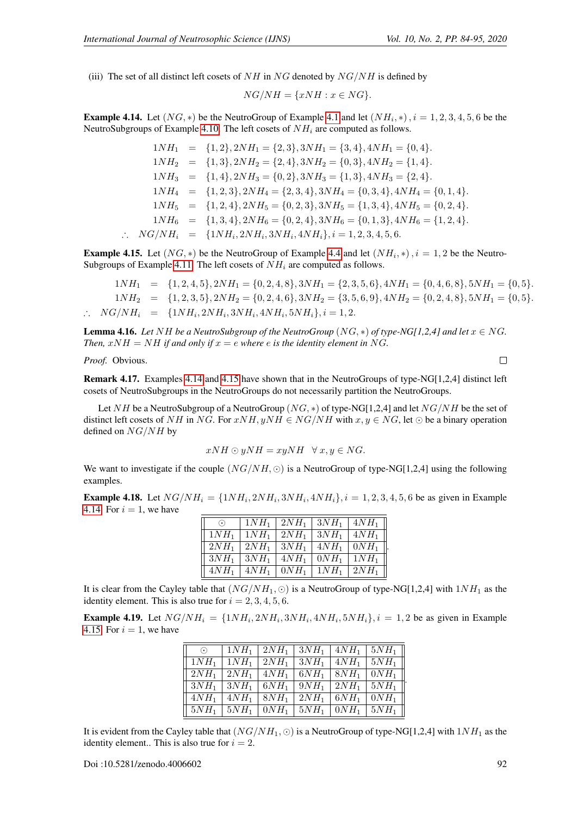(iii) The set of all distinct left cosets of  $NH$  in NG denoted by  $NG/NH$  is defined by

$$
NG/NH = \{xNH : x \in NG\}.
$$

<span id="page-8-0"></span>**Example [4.1](#page-6-2)4.** Let  $(NG, *)$  be the NeutroGroup of Example 4.1 and let  $(NH_i, *)$ ,  $i = 1, 2, 3, 4, 5, 6$  be the NeutroSubgroups of Example [4.10.](#page-7-0) The left cosets of  $NH<sub>i</sub>$  are computed as follows.

$$
1NH_1 = \{1, 2\}, 2NH_1 = \{2, 3\}, 3NH_1 = \{3, 4\}, 4NH_1 = \{0, 4\}.
$$
  
\n
$$
1NH_2 = \{1, 3\}, 2NH_2 = \{2, 4\}, 3NH_2 = \{0, 3\}, 4NH_2 = \{1, 4\}.
$$
  
\n
$$
1NH_3 = \{1, 4\}, 2NH_3 = \{0, 2\}, 3NH_3 = \{1, 3\}, 4NH_3 = \{2, 4\}.
$$
  
\n
$$
1NH_4 = \{1, 2, 3\}, 2NH_4 = \{2, 3, 4\}, 3NH_4 = \{0, 3, 4\}, 4NH_4 = \{0, 1, 4\}.
$$
  
\n
$$
1NH_5 = \{1, 2, 4\}, 2NH_5 = \{0, 2, 3\}, 3NH_5 = \{1, 3, 4\}, 4NH_5 = \{0, 2, 4\}.
$$
  
\n
$$
1NH_6 = \{1, 3, 4\}, 2NH_6 = \{0, 2, 4\}, 3NH_6 = \{0, 1, 3\}, 4NH_6 = \{1, 2, 4\}.
$$
  
\n
$$
\therefore NG/NH_i = \{1NH_i, 2NH_i, 3NH_i, 4NH_i\}, i = 1, 2, 3, 4, 5, 6.
$$

<span id="page-8-1"></span>**Example 4.15.** Let  $(NG, *)$  be the NeutroGroup of Example [4.4](#page-6-3) and let  $(NH_i, *)$ ,  $i = 1, 2$  be the Neutro-Subgroups of Example [4.11.](#page-7-1) The left cosets of  $NH<sub>i</sub>$  are computed as follows.

 $1NH_1 = \{1, 2, 4, 5\}, 2NH_1 = \{0, 2, 4, 8\}, 3NH_1 = \{2, 3, 5, 6\}, 4NH_1 = \{0, 4, 6, 8\}, 5NH_1 = \{0, 5\}.$  $1NH_2 = \{1, 2, 3, 5\}, 2NH_2 = \{0, 2, 4, 6\}, 3NH_2 = \{3, 5, 6, 9\}, 4NH_2 = \{0, 2, 4, 8\}, 5NH_1 = \{0, 5\}.$  $\therefore \quad NG/NH_i = \{1NH_i, 2NH_i, 3NH_i, 4NH_i, 5NH_i\}, i = 1, 2.$ 

**Lemma 4.16.** *Let* NH *be a NeutroSubgroup of the NeutroGroup* (NG,  $*$ ) *of type-NG*[1,2,4] *and let*  $x \in NG$ . *Then,*  $xNH = NH$  *if and only if*  $x = e$  *where e is the identity element in* NG.

*Proof.* Obvious.

Remark 4.17. Examples [4.14](#page-8-0) and [4.15](#page-8-1) have shown that in the NeutroGroups of type-NG[1,2,4] distinct left cosets of NeutroSubgroups in the NeutroGroups do not necessarily partition the NeutroGroups.

Let NH be a NeutroSubgroup of a NeutroGroup (NG,  $*$ ) of type-NG[1,2,4] and let NG/NH be the set of distinct left cosets of NH in NG. For xNH,  $uNH \in NG/NH$  with  $x, y \in NG$ , let  $\odot$  be a binary operation defined on  $NG/NH$  by

$$
xNH \odot yNH = xyNH \quad \forall x, y \in NG.
$$

We want to investigate if the couple  $(NG/NH, \odot)$  is a NeutroGroup of type-NG[1,2,4] using the following examples.

<span id="page-8-2"></span>**Example 4.18.** Let  $NG/NH_i = \{1NH_i, 2NH_i, 3NH_i, 4NH_i\}, i = 1, 2, 3, 4, 5, 6$  be as given in Example [4.14.](#page-8-0) For  $i = 1$ , we have

| $\odot$          | $1NH_1$ | $2NH_1$ | $3NH_1$ | $4NH_1$ |
|------------------|---------|---------|---------|---------|
| $1NH_1$          | $1NH_1$ | $2NH_1$ | $3NH_1$ | $4NH_1$ |
| 2NH <sub>1</sub> | $2NH_1$ | $3NH_1$ | $4NH_1$ | $0NH_1$ |
| 3NH <sub>1</sub> | $3NH_1$ | $4NH_1$ | $0NH_1$ | $1NH_1$ |
| $4NH_1$          | $4NH_1$ | $0NH_1$ | $1NH_1$ | $2NH_1$ |

It is clear from the Cayley table that  $(NG/NH_1, \odot)$  is a NeutroGroup of type-NG[1,2,4] with  $1NH_1$  as the identity element. This is also true for  $i = 2, 3, 4, 5, 6$ .

<span id="page-8-3"></span>**Example 4.19.** Let  $NG/NH_i = \{1NH_i, 2NH_i, 3NH_i, 4NH_i, 5NH_i\}, i = 1, 2$  be as given in Example [4.15.](#page-8-1) For  $i = 1$ , we have

| $\odot$          | $1NH_1$          | $2NH_1$          | 3NH <sub>1</sub> | $4NH_1$          | 5NH <sub>1</sub> |
|------------------|------------------|------------------|------------------|------------------|------------------|
| 1NH <sub>1</sub> | $1NH_1$          | 2NH <sub>1</sub> | 3NH <sub>1</sub> | $4NH_1$          | 5NH <sub>1</sub> |
| 2NH <sub>1</sub> | 2NH <sub>1</sub> | $4NH_1$          | 6NH <sub>1</sub> | 8NH <sub>1</sub> | $0NH_1$          |
| $3NH_1$          | $3NH_1$          | 6NH <sub>1</sub> | $9NH_1$          | 2NH <sub>1</sub> | 5NH <sub>1</sub> |
| 4NH <sub>1</sub> | $4NH_1$          | 8NH <sub>1</sub> | $2NH_1$          | $6NH_1$          | $0NH_1$          |
| 5NH <sub>1</sub> | 5NH <sub>1</sub> | $0NH_1$          | 5NH <sub>1</sub> | $0NH_1$          | 5NH <sub>1</sub> |

It is evident from the Cayley table that  $(NG/NH_1, \odot)$  is a NeutroGroup of type-NG[1,2,4] with  $1NH_1$  as the identity element.. This is also true for  $i = 2$ .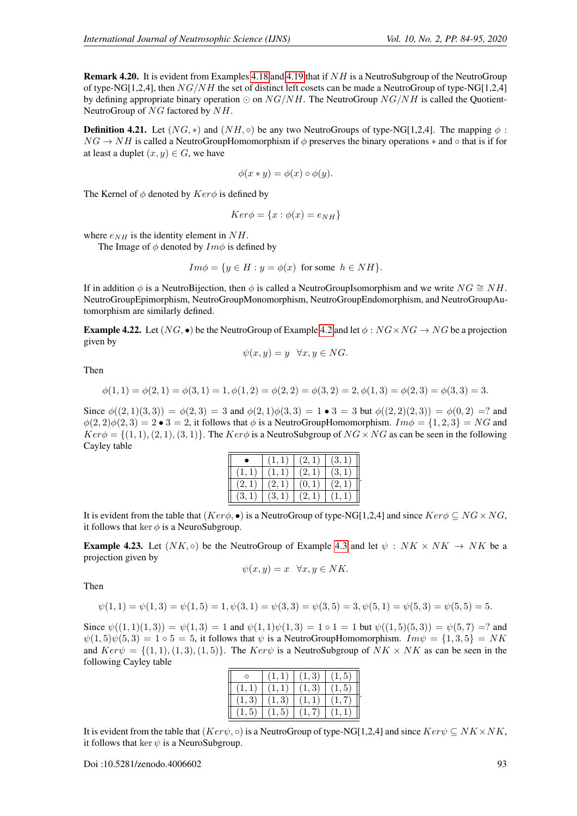Remark 4.20. It is evident from Examples [4.18](#page-8-2) and [4.19](#page-8-3) that if NH is a NeutroSubgroup of the NeutroGroup of type-NG[1,2,4], then  $NG/NH$  the set of distinct left cosets can be made a NeutroGroup of type-NG[1,2,4] by defining appropriate binary operation  $\odot$  on  $NG/NH$ . The NeutroGroup  $NG/NH$  is called the Quotient-NeutroGroup of NG factored by NH.

**Definition 4.21.** Let  $(NG, *)$  and  $(NH, \circ)$  be any two NeutroGroups of type-NG[1,2,4]. The mapping  $\phi$ :  $NG \rightarrow NH$  is called a NeutroGroupHomomorphism if  $\phi$  preserves the binary operations  $*$  and  $\circ$  that is if for at least a duplet  $(x, y) \in G$ , we have

$$
\phi(x * y) = \phi(x) \circ \phi(y).
$$

The Kernel of  $\phi$  denoted by  $Ker\phi$  is defined by

$$
Ker \phi = \{x : \phi(x) = e_{NH}\}
$$

where  $e_{NH}$  is the identity element in  $NH$ .

The Image of  $\phi$  denoted by  $Im \phi$  is defined by

$$
Im\phi = \{y \in H : y = \phi(x) \text{ for some } h \in NH\}.
$$

If in addition  $\phi$  is a NeutroBijection, then  $\phi$  is called a NeutroGroupIsomorphism and we write  $NG \cong NH$ . NeutroGroupEpimorphism, NeutroGroupMonomorphism, NeutroGroupEndomorphism, and NeutroGroupAutomorphism are similarly defined.

**Example [4.2](#page-6-0)2.** Let  $(NG, \bullet)$  be the NeutroGroup of Example 4.2 and let  $\phi : NG \times NG \rightarrow NG$  be a projection given by

$$
\psi(x, y) = y \quad \forall x, y \in NG.
$$

Then

$$
\phi(1,1) = \phi(2,1) = \phi(3,1) = 1, \phi(1,2) = \phi(2,2) = \phi(3,2) = 2, \phi(1,3) = \phi(2,3) = \phi(3,3) = 3.
$$

Since  $\phi((2,1)(3,3)) = \phi(2,3) = 3$  and  $\phi(2,1)\phi(3,3) = 1 \cdot 3 = 3$  but  $\phi((2,2)(2,3)) = \phi(0,2) = ?$  and  $\phi(2,2)\phi(2,3) = 2 \cdot 3 = 2$ , it follows that  $\phi$  is a NeutroGroupHomomorphism.  $Im \phi = \{1,2,3\} = NG$  and  $Ker\phi = \{(1, 1), (2, 1), (3, 1)\}.$  The  $Ker\phi$  is a NeutroSubgroup of  $NG \times NG$  as can be seen in the following Cayley table

|       | 1,1) | (2,1) | (3,1) |
|-------|------|-------|-------|
|       |      | (2,1) | (3,1) |
| (2,1) |      | (0,1) | (2,1) |
| (3,1) | 3,1  |       |       |

It is evident from the table that  $(Ker\phi, \bullet)$  is a NeutroGroup of type-NG[1,2,4] and since  $Ker\phi \subseteq NG \times NG$ , it follows that ker  $\phi$  is a NeuroSubgroup.

**Example 4.23.** Let  $(NK, \circ)$  be the NeutroGroup of Example [4.3](#page-6-1) and let  $\psi : NK \times NK \to NK$  be a projection given by

$$
\psi(x, y) = x \quad \forall x, y \in NK.
$$

Then

$$
\psi(1,1) = \psi(1,3) = \psi(1,5) = 1, \psi(3,1) = \psi(3,3) = \psi(3,5) = 3, \psi(5,1) = \psi(5,3) = \psi(5,5) = 5.
$$

Since  $\psi((1,1)(1,3)) = \psi(1,3) = 1$  and  $\psi(1,1)\psi(1,3) = 1 \circ 1 = 1$  but  $\psi((1,5)(5,3)) = \psi(5,7) = ?$  and  $\psi(1,5)\psi(5,3) = 1 \circ 5 = 5$ , it follows that  $\psi$  is a NeutroGroupHomomorphism.  $Im \psi = \{1,3,5\} = NK$ and  $Ker\psi = \{(1, 1), (1, 3), (1, 5)\}\.$  The  $Ker\psi$  is a NeutroSubgroup of  $NK \times NK$  as can be seen in the following Cayley table

|        |        | (1, 3) | (1, 5) |
|--------|--------|--------|--------|
| (1,1)  | 1,1    | (1, 3) | (1, 5) |
| (1, 3) | (1, 3) | 1, 1)  |        |
| (1, 5) | (1, 5) |        |        |

It is evident from the table that  $(Ker\psi, \circ)$  is a NeutroGroup of type-NG[1,2,4] and since  $Ker\psi \subseteq NK \times NK$ , it follows that ker  $\psi$  is a NeuroSubgroup.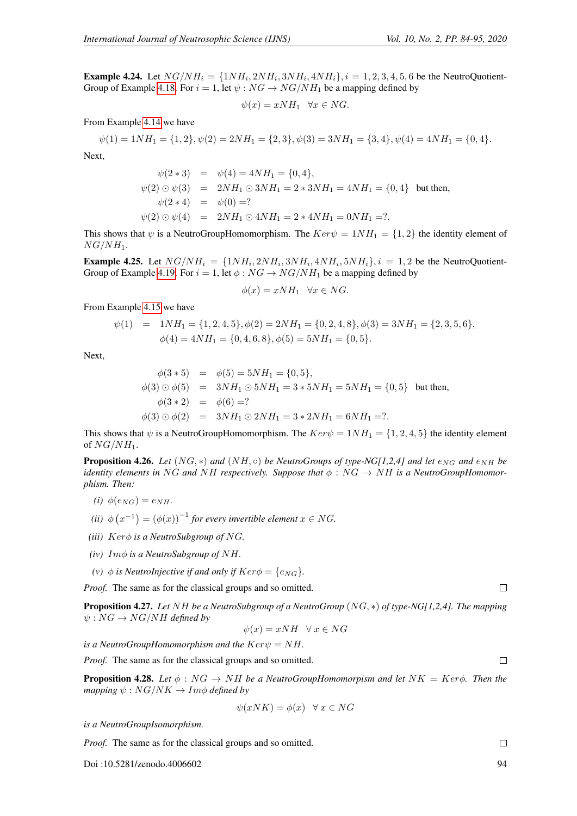**Example 4.24.** Let  $NG/NH_i = \{1NH_i, 2NH_i, 3NH_i, 4NH_i\}, i = 1, 2, 3, 4, 5, 6$  be the NeutroQuotient-Group of Example [4.18.](#page-8-2) For  $i = 1$ , let  $\psi : NG \rightarrow NG/NH_1$  be a mapping defined by

$$
\psi(x) = xNH_1 \quad \forall x \in NG.
$$

From Example [4.14](#page-8-0) we have

$$
\psi(1) = 1NH_1 = \{1, 2\}, \psi(2) = 2NH_1 = \{2, 3\}, \psi(3) = 3NH_1 = \{3, 4\}, \psi(4) = 4NH_1 = \{0, 4\}.
$$

Next,

$$
\psi(2 * 3) = \psi(4) = 4NH_1 = \{0, 4\},
$$
  
\n
$$
\psi(2) \odot \psi(3) = 2NH_1 \odot 3NH_1 = 2 * 3NH_1 = 4NH_1 = \{0, 4\} \text{ but then,}
$$
  
\n
$$
\psi(2 * 4) = \psi(0) = ?
$$
  
\n
$$
\psi(2) \odot \psi(4) = 2NH_1 \odot 4NH_1 = 2 * 4NH_1 = 0NH_1 = ?.
$$

This shows that  $\psi$  is a NeutroGroupHomomorphism. The  $Ker\psi = 1NH_1 = \{1, 2\}$  the identity element of  $NG/NH_1.$ 

**Example 4.25.** Let  $NG/NH_i = \{1NH_i, 2NH_i, 3NH_i, 4NH_i, 5NH_i\}, i = 1, 2$  be the NeutroQuotient-Group of Example [4.19.](#page-8-3) For  $i = 1$ , let  $\phi : NG \rightarrow NG/NH_1$  be a mapping defined by

$$
\phi(x) = xNH_1 \quad \forall x \in NG.
$$

From Example [4.15](#page-8-1) we have

$$
\psi(1) = 1NH_1 = \{1, 2, 4, 5\}, \phi(2) = 2NH_1 = \{0, 2, 4, 8\}, \phi(3) = 3NH_1 = \{2, 3, 5, 6\},
$$
  

$$
\phi(4) = 4NH_1 = \{0, 4, 6, 8\}, \phi(5) = 5NH_1 = \{0, 5\}.
$$

Next,

$$
\phi(3 * 5) = \phi(5) = 5NH_1 = \{0, 5\},
$$
  
\n
$$
\phi(3) \odot \phi(5) = 3NH_1 \odot 5NH_1 = 3 * 5NH_1 = 5NH_1 = \{0, 5\} \text{ but then,}
$$
  
\n
$$
\phi(3 * 2) = \phi(6) = ?
$$
  
\n
$$
\phi(3) \odot \phi(2) = 3NH_1 \odot 2NH_1 = 3 * 2NH_1 = 6NH_1 = ?.
$$

This shows that  $\psi$  is a NeutroGroupHomomorphism. The  $Ker\psi = 1NH_1 = \{1, 2, 4, 5\}$  the identity element of  $NG/NH_1$ .

**Proposition 4.26.** *Let*  $(NG, *)$  *and*  $(NH, \circ)$  *be NeutroGroups of type-NG[1,2,4] and let*  $e_{NG}$  *and*  $e_{NH}$  *be identity elements in* NG and NH respectively. Suppose that  $\phi$ : NG  $\rightarrow$  NH is a NeutroGroupHomomor*phism. Then:*

- *(i)*  $\phi(e_{NG}) = e_{NH}$ .
- (*ii*)  $\phi(x^{-1}) = (\phi(x))^{-1}$  *for every invertible element*  $x \in NG$ *.*
- *(iii)* Kerφ *is a NeutroSubgroup of* NG*.*
- *(iv)* Imφ *is a NeutroSubgroup of* NH*.*
- *(v)*  $\phi$  *is NeutroInjective if and only if*  $Ker\phi = \{e_{NG}\}.$

*Proof.* The same as for the classical groups and so omitted.

Proposition 4.27. *Let* NH *be a NeutroSubgroup of a NeutroGroup* (NG, ∗) *of type-NG[1,2,4]. The mapping*  $\psi : NG \rightarrow NG/NH$  *defined by* 

$$
\psi(x) = xNH \quad \forall x \in NG
$$

*is a NeutroGroupHomomorphism and the*  $Ker\psi = NH$ .

*Proof.* The same as for the classical groups and so omitted.

**Proposition 4.28.** Let  $\phi : NG \rightarrow NH$  be a NeutroGroupHomomorpism and let  $NK = Ker\phi$ . Then the *mapping*  $\psi$  :  $NG/NK \rightarrow Im\phi$  *defined by* 

$$
\psi(xNK) = \phi(x) \quad \forall x \in NG
$$

*is a NeutroGroupIsomorphism.*

*Proof.* The same as for the classical groups and so omitted.

Doi :10.5281/zenodo.4006602 94

 $\Box$ 

 $\Box$